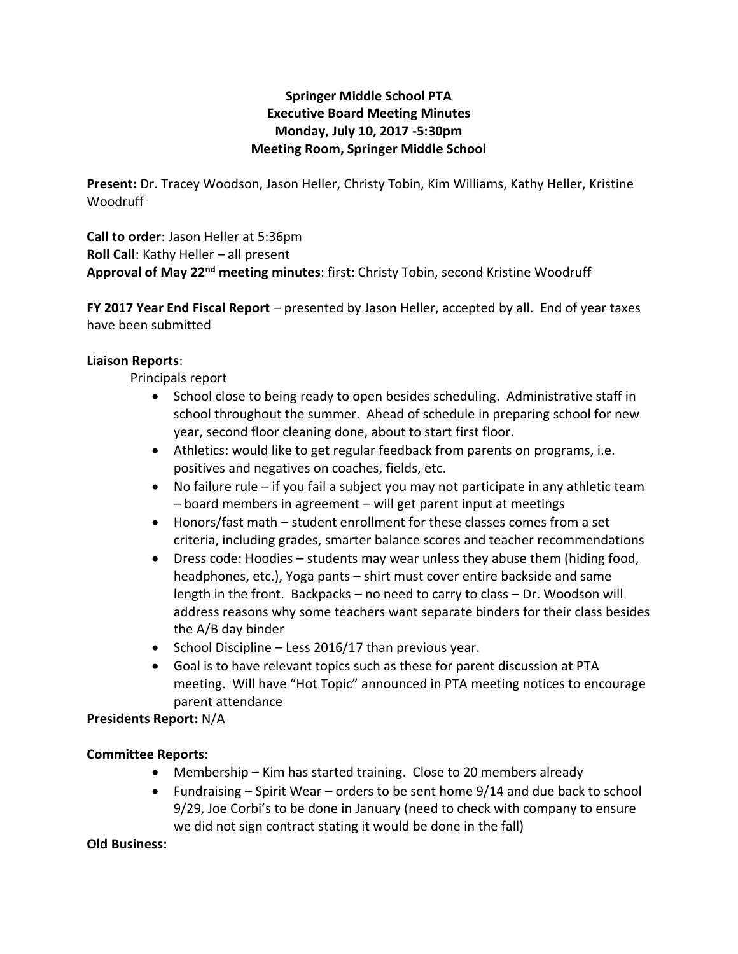## **Springer Middle School PTA Executive Board Meeting Minutes Monday, July 10, 2017 -5:30pm Meeting Room, Springer Middle School**

**Present:** Dr. Tracey Woodson, Jason Heller, Christy Tobin, Kim Williams, Kathy Heller, Kristine **Woodruff** 

**Call to order**: Jason Heller at 5:36pm **Roll Call**: Kathy Heller – all present **Approval of May 22nd meeting minutes**: first: Christy Tobin, second Kristine Woodruff

**FY 2017 Year End Fiscal Report** – presented by Jason Heller, accepted by all. End of year taxes have been submitted

### **Liaison Reports**:

Principals report

- School close to being ready to open besides scheduling. Administrative staff in school throughout the summer. Ahead of schedule in preparing school for new year, second floor cleaning done, about to start first floor.
- Athletics: would like to get regular feedback from parents on programs, i.e. positives and negatives on coaches, fields, etc.
- No failure rule if you fail a subject you may not participate in any athletic team – board members in agreement – will get parent input at meetings
- Honors/fast math student enrollment for these classes comes from a set criteria, including grades, smarter balance scores and teacher recommendations
- Dress code: Hoodies students may wear unless they abuse them (hiding food, headphones, etc.), Yoga pants – shirt must cover entire backside and same length in the front. Backpacks – no need to carry to class – Dr. Woodson will address reasons why some teachers want separate binders for their class besides the A/B day binder
- School Discipline Less 2016/17 than previous year.
- Goal is to have relevant topics such as these for parent discussion at PTA meeting. Will have "Hot Topic" announced in PTA meeting notices to encourage parent attendance

**Presidents Report:** N/A

### **Committee Reports**:

- Membership Kim has started training. Close to 20 members already
- Fundraising Spirit Wear orders to be sent home 9/14 and due back to school 9/29, Joe Corbi's to be done in January (need to check with company to ensure we did not sign contract stating it would be done in the fall)

#### **Old Business:**